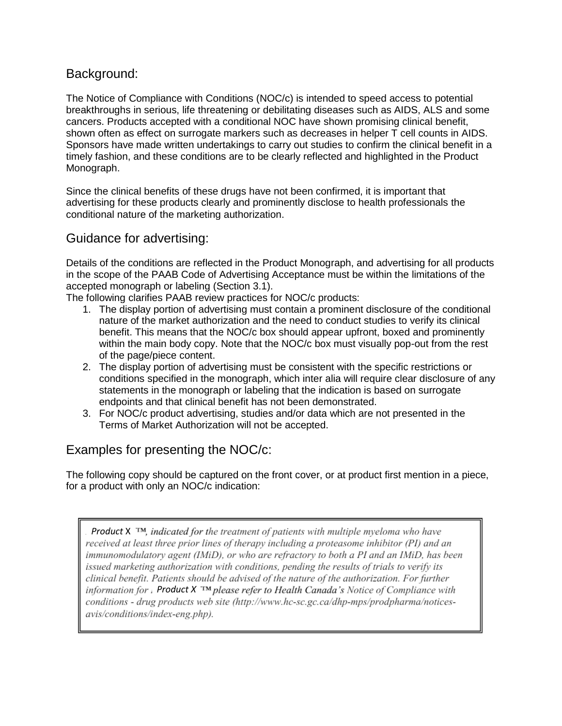# Background:

The Notice of Compliance with Conditions (NOC/c) is intended to speed access to potential breakthroughs in serious, life threatening or debilitating diseases such as AIDS, ALS and some cancers. Products accepted with a conditional NOC have shown promising clinical benefit, shown often as effect on surrogate markers such as decreases in helper T cell counts in AIDS. Sponsors have made written undertakings to carry out studies to confirm the clinical benefit in a timely fashion, and these conditions are to be clearly reflected and highlighted in the Product Monograph.

Since the clinical benefits of these drugs have not been confirmed, it is important that advertising for these products clearly and prominently disclose to health professionals the conditional nature of the marketing authorization.

# Guidance for advertising:

Details of the conditions are reflected in the Product Monograph, and advertising for all products in the scope of the PAAB Code of Advertising Acceptance must be within the limitations of the accepted monograph or labeling (Section 3.1).

The following clarifies PAAB review practices for NOC/c products:

- 1. The display portion of advertising must contain a prominent disclosure of the conditional nature of the market authorization and the need to conduct studies to verify its clinical benefit. This means that the NOC/c box should appear upfront, boxed and prominently within the main body copy. Note that the NOC/c box must visually pop-out from the rest of the page/piece content.
- 2. The display portion of advertising must be consistent with the specific restrictions or conditions specified in the monograph, which inter alia will require clear disclosure of any statements in the monograph or labeling that the indication is based on surrogate endpoints and that clinical benefit has not been demonstrated.
- 3. For NOC/c product advertising, studies and/or data which are not presented in the Terms of Market Authorization will not be accepted.

# Examples for presenting the NOC/c:

The following copy should be captured on the front cover, or at product first mention in a piece, for a product with only an NOC/c indication:

**Product** X TM, indicated for the treatment of patients with multiple myeloma who have received at least three prior lines of therapy including a proteasome inhibitor (PI) and an immunomodulatory agent (IMiD), or who are refractory to both a PI and an IMiD, has been issued marketing authorization with conditions, pending the results of trials to verify its clinical benefit. Patients should be advised of the nature of the authorization. For further *information for Product X* TM *please refer to Health Canada's Notice of Compliance with* conditions - drug products web site (http://www.hc-sc.gc.ca/dhp-mps/prodpharma/noticesavis/conditions/index-eng.php).